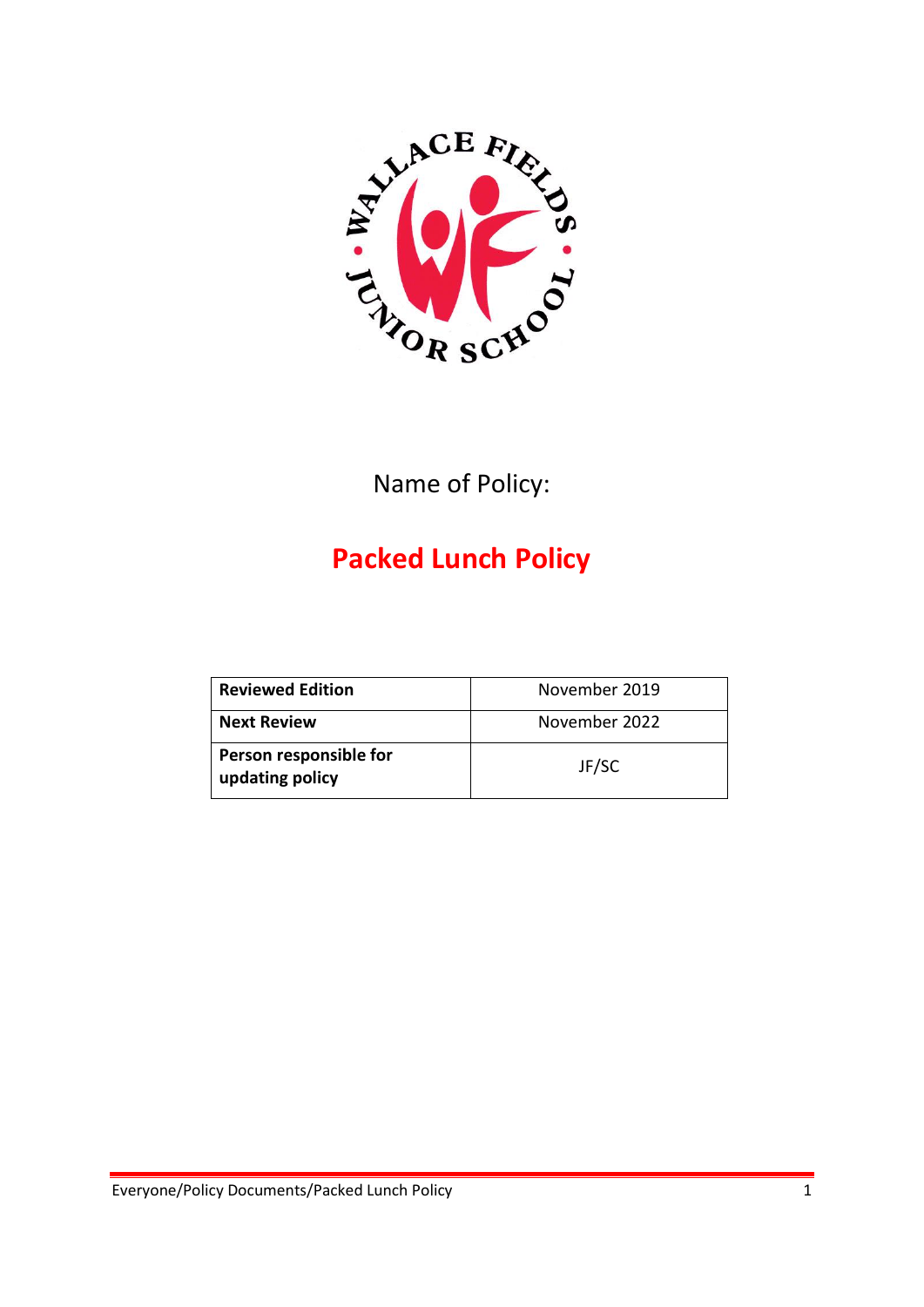

Name of Policy:

# **Packed Lunch Policy**

| <b>Reviewed Edition</b>                   | November 2019 |
|-------------------------------------------|---------------|
| <b>Next Review</b>                        | November 2022 |
| Person responsible for<br>updating policy | JF/SC         |

Everyone/Policy Documents/Packed Lunch Policy 1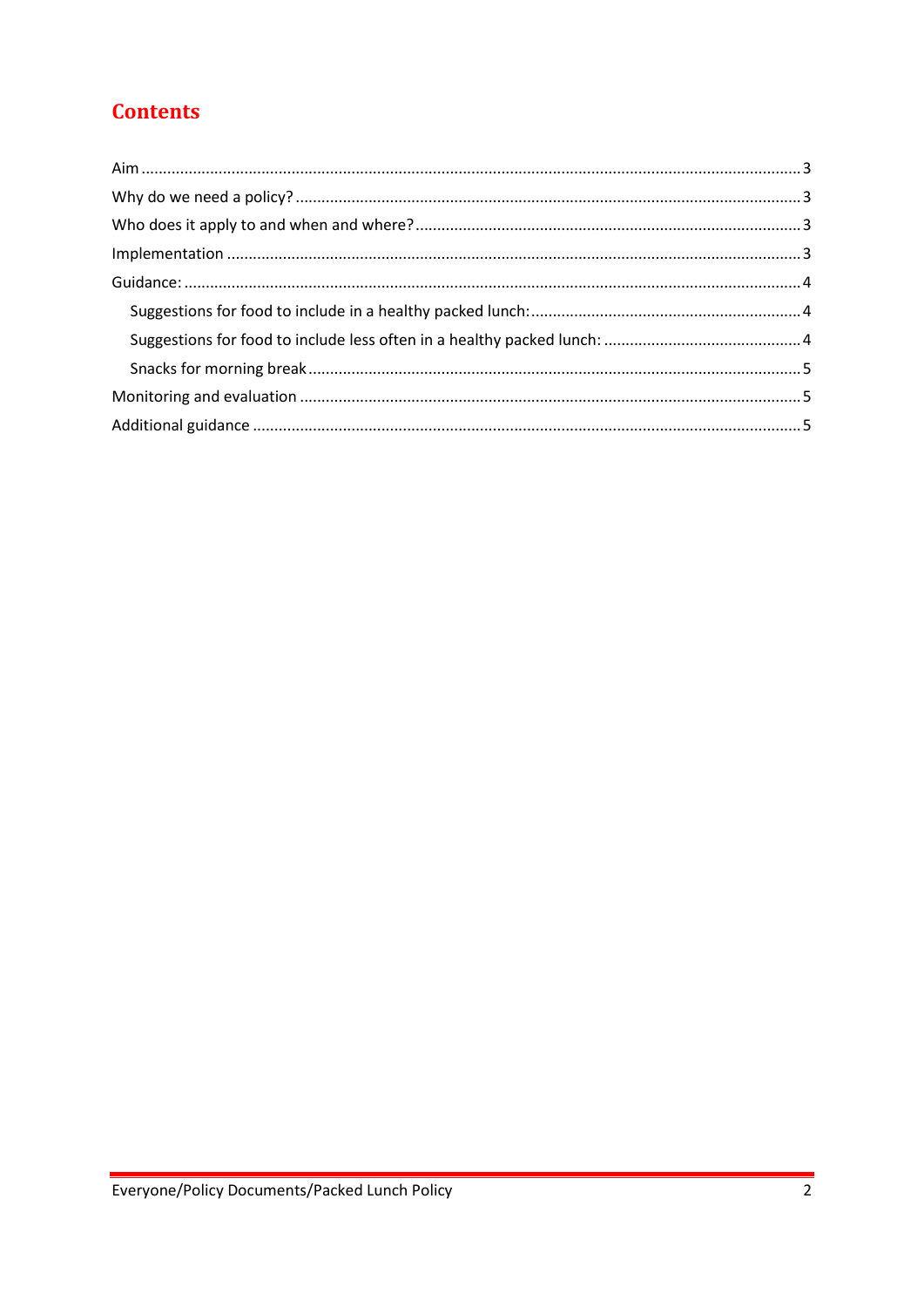# **Contents**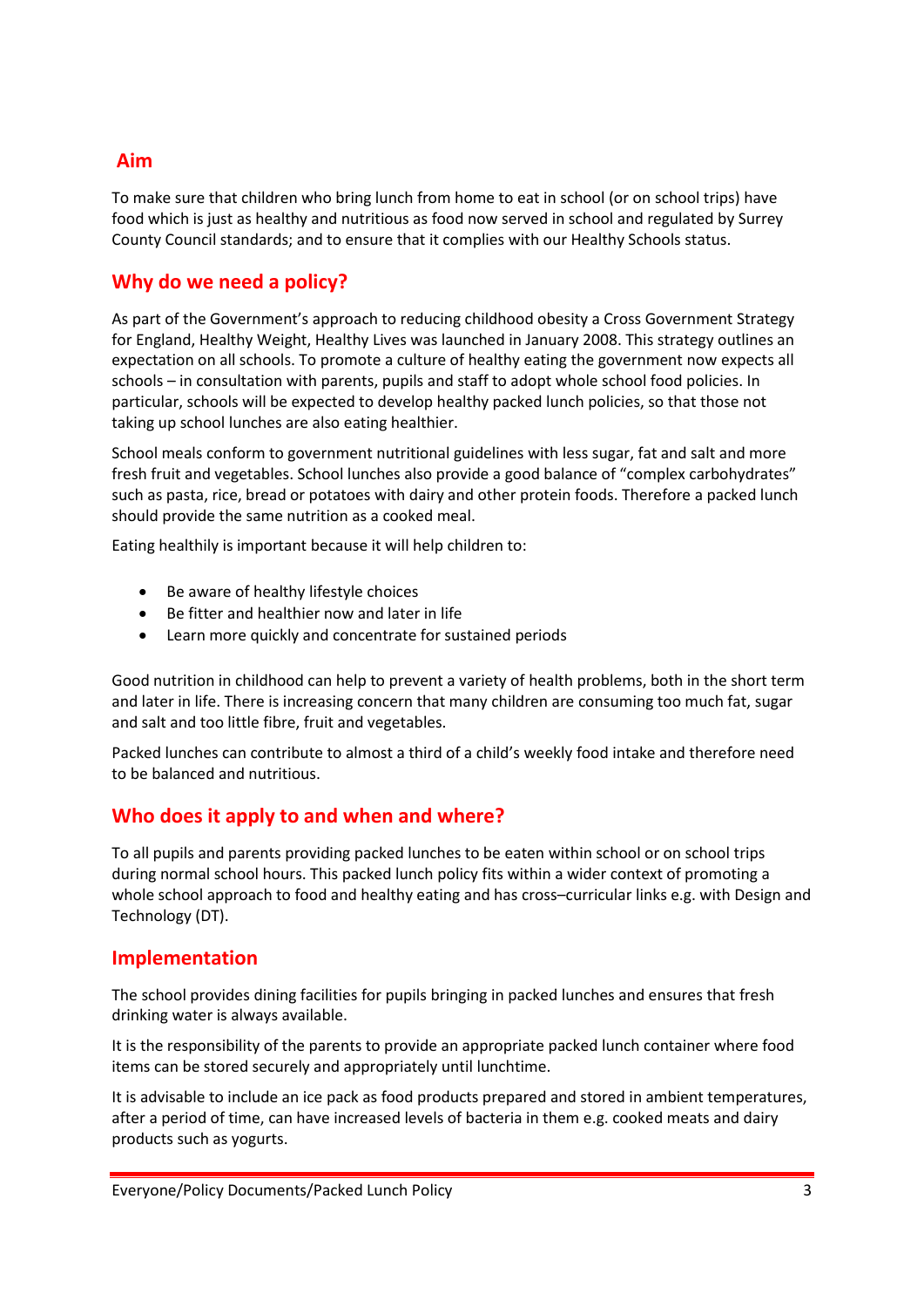## <span id="page-2-0"></span>**Aim**

To make sure that children who bring lunch from home to eat in school (or on school trips) have food which is just as healthy and nutritious as food now served in school and regulated by Surrey County Council standards; and to ensure that it complies with our Healthy Schools status.

# <span id="page-2-1"></span>**Why do we need a policy?**

As part of the Government's approach to reducing childhood obesity a Cross Government Strategy for England, Healthy Weight, Healthy Lives was launched in January 2008. This strategy outlines an expectation on all schools. To promote a culture of healthy eating the government now expects all schools – in consultation with parents, pupils and staff to adopt whole school food policies. In particular, schools will be expected to develop healthy packed lunch policies, so that those not taking up school lunches are also eating healthier.

School meals conform to government nutritional guidelines with less sugar, fat and salt and more fresh fruit and vegetables. School lunches also provide a good balance of "complex carbohydrates" such as pasta, rice, bread or potatoes with dairy and other protein foods. Therefore a packed lunch should provide the same nutrition as a cooked meal.

Eating healthily is important because it will help children to:

- Be aware of healthy lifestyle choices
- Be fitter and healthier now and later in life
- Learn more quickly and concentrate for sustained periods

Good nutrition in childhood can help to prevent a variety of health problems, both in the short term and later in life. There is increasing concern that many children are consuming too much fat, sugar and salt and too little fibre, fruit and vegetables.

Packed lunches can contribute to almost a third of a child's weekly food intake and therefore need to be balanced and nutritious.

# <span id="page-2-2"></span>**Who does it apply to and when and where?**

To all pupils and parents providing packed lunches to be eaten within school or on school trips during normal school hours. This packed lunch policy fits within a wider context of promoting a whole school approach to food and healthy eating and has cross–curricular links e.g. with Design and Technology (DT).

#### <span id="page-2-3"></span>**Implementation**

The school provides dining facilities for pupils bringing in packed lunches and ensures that fresh drinking water is always available.

It is the responsibility of the parents to provide an appropriate packed lunch container where food items can be stored securely and appropriately until lunchtime.

It is advisable to include an ice pack as food products prepared and stored in ambient temperatures, after a period of time, can have increased levels of bacteria in them e.g. cooked meats and dairy products such as yogurts.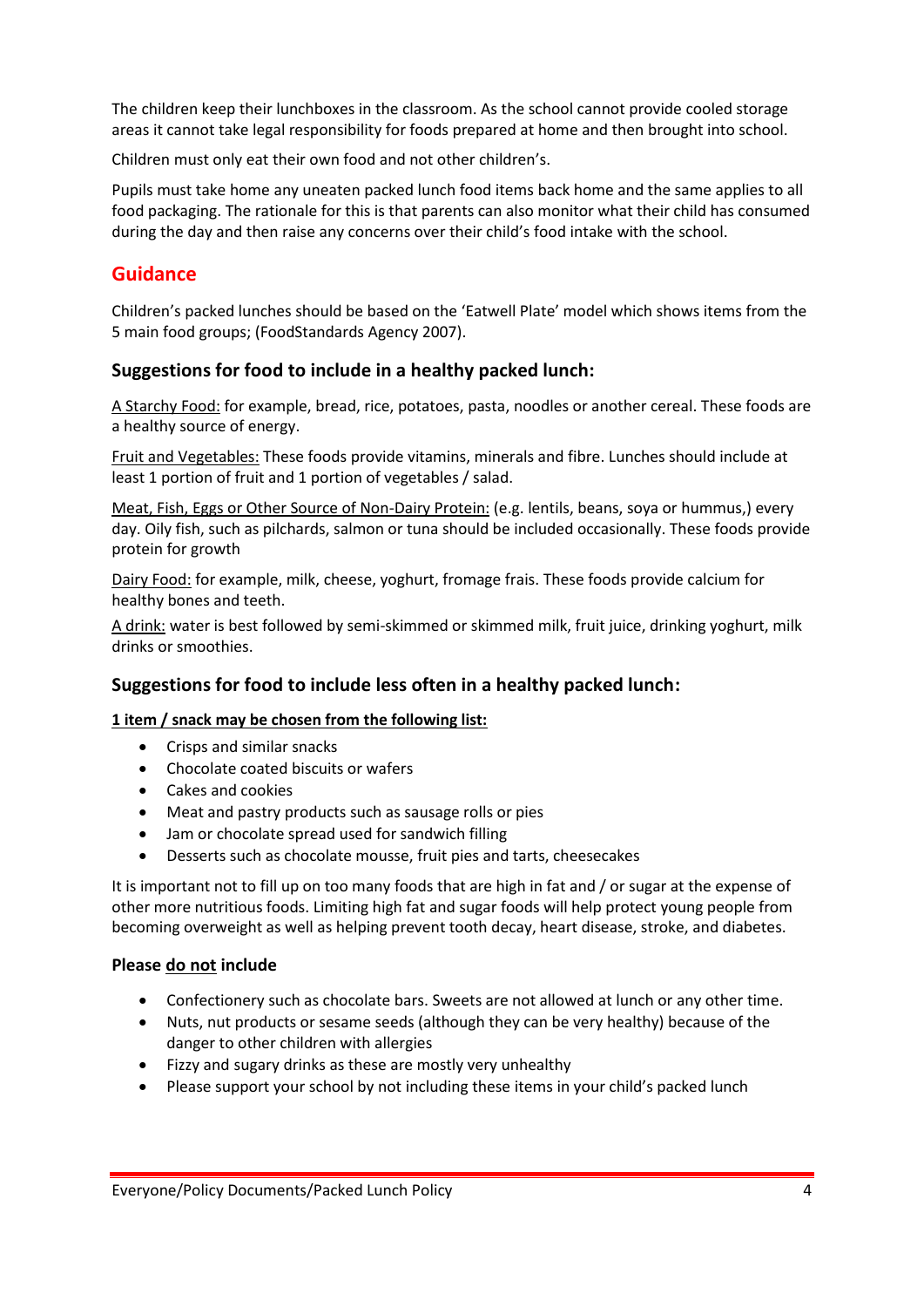The children keep their lunchboxes in the classroom. As the school cannot provide cooled storage areas it cannot take legal responsibility for foods prepared at home and then brought into school.

Children must only eat their own food and not other children's.

Pupils must take home any uneaten packed lunch food items back home and the same applies to all food packaging. The rationale for this is that parents can also monitor what their child has consumed during the day and then raise any concerns over their child's food intake with the school.

# <span id="page-3-0"></span>**Guidance**

Children's packed lunches should be based on the 'Eatwell Plate' model which shows items from the 5 main food groups; (FoodStandards Agency 2007).

#### <span id="page-3-1"></span>**Suggestions for food to include in a healthy packed lunch:**

A Starchy Food: for example, bread, rice, potatoes, pasta, noodles or another cereal. These foods are a healthy source of energy.

Fruit and Vegetables: These foods provide vitamins, minerals and fibre. Lunches should include at least 1 portion of fruit and 1 portion of vegetables / salad.

Meat, Fish, Eggs or Other Source of Non-Dairy Protein: (e.g. lentils, beans, soya or hummus,) every day. Oily fish, such as pilchards, salmon or tuna should be included occasionally. These foods provide protein for growth

Dairy Food: for example, milk, cheese, yoghurt, fromage frais. These foods provide calcium for healthy bones and teeth.

A drink: water is best followed by semi-skimmed or skimmed milk, fruit juice, drinking yoghurt, milk drinks or smoothies.

#### <span id="page-3-2"></span>**Suggestions for food to include less often in a healthy packed lunch:**

#### **1 item / snack may be chosen from the following list:**

- Crisps and similar snacks
- Chocolate coated biscuits or wafers
- Cakes and cookies
- Meat and pastry products such as sausage rolls or pies
- Jam or chocolate spread used for sandwich filling
- Desserts such as chocolate mousse, fruit pies and tarts, cheesecakes

It is important not to fill up on too many foods that are high in fat and / or sugar at the expense of other more nutritious foods. Limiting high fat and sugar foods will help protect young people from becoming overweight as well as helping prevent tooth decay, heart disease, stroke, and diabetes.

#### **Please do not include**

- Confectionery such as chocolate bars. Sweets are not allowed at lunch or any other time.
- Nuts, nut products or sesame seeds (although they can be very healthy) because of the danger to other children with allergies
- Fizzy and sugary drinks as these are mostly very unhealthy
- Please support your school by not including these items in your child's packed lunch